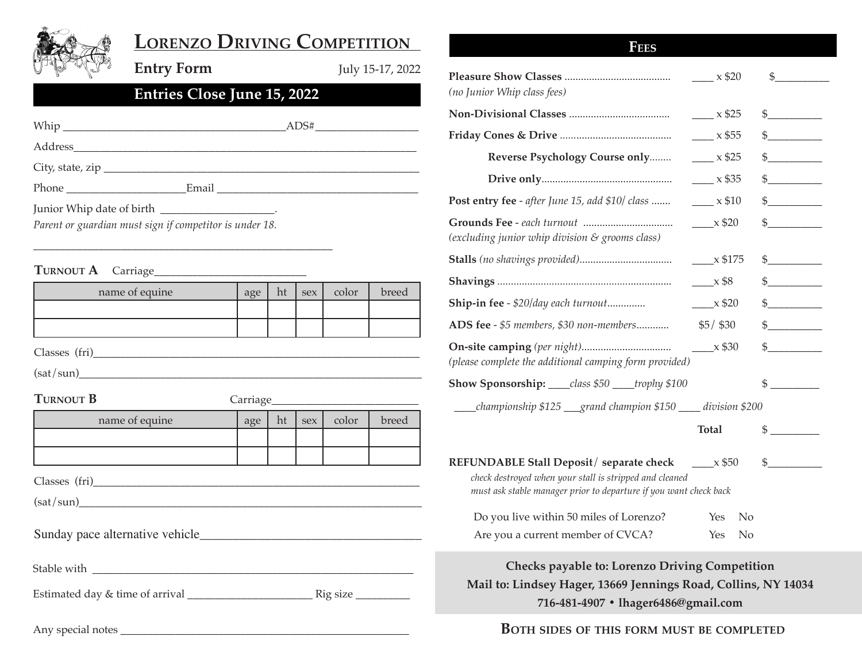

# **Lorenzo Driving Competition**

**Entry Form** July 15-17, 2022

# **Entries Close June 15, 2022**

|                                                         |  | $\text{ADS#}\_\text{max}$ |  |  |  |  |
|---------------------------------------------------------|--|---------------------------|--|--|--|--|
|                                                         |  |                           |  |  |  |  |
|                                                         |  |                           |  |  |  |  |
|                                                         |  |                           |  |  |  |  |
| Junior Whip date of birth ________________________.     |  |                           |  |  |  |  |
| Parent or guardian must sign if competitor is under 18. |  |                           |  |  |  |  |

\_\_\_\_\_\_\_\_\_\_\_\_\_\_\_\_\_\_\_\_\_\_\_\_\_\_\_\_\_\_\_\_\_\_\_\_\_\_\_\_\_\_\_\_\_\_\_\_\_\_\_\_\_\_\_

## **TURNOUT A** Carriage

| name of equine   | age | ht | sex | color | breed |  |  |  |  |  |
|------------------|-----|----|-----|-------|-------|--|--|--|--|--|
|                  |     |    |     |       |       |  |  |  |  |  |
|                  |     |    |     |       |       |  |  |  |  |  |
| Classes (fri)    |     |    |     |       |       |  |  |  |  |  |
| (sat/sun)        |     |    |     |       |       |  |  |  |  |  |
| <b>TURNOUT B</b> |     |    |     |       |       |  |  |  |  |  |
| name of equine   | age | ht | sex | color | breed |  |  |  |  |  |
|                  |     |    |     |       |       |  |  |  |  |  |
|                  |     |    |     |       |       |  |  |  |  |  |
|                  |     |    |     |       |       |  |  |  |  |  |

 $(sat/sun)$ 

Sunday pace alternative vehicle

Stable with \_\_\_\_\_\_\_\_\_\_\_\_\_\_\_\_\_\_\_\_\_\_\_\_\_\_\_\_\_\_\_\_\_\_\_\_\_\_\_\_\_\_\_\_\_\_\_\_\_\_\_\_\_\_\_\_\_\_\_

Estimated day & time of arrival \_\_\_\_\_\_\_\_\_\_\_\_\_\_\_\_\_\_\_\_\_\_\_ Rig size \_\_\_\_\_\_\_\_\_\_

Any special notes \_\_\_\_\_\_\_\_\_\_\_\_\_\_\_\_\_\_\_\_\_\_\_\_\_\_\_\_\_\_\_\_\_\_\_\_\_\_\_\_\_\_\_\_\_\_\_\_\_\_\_\_\_

| <b>FEES</b>                                                                                                                                                                                 |                              |                                                                                                                                                                                                                                                                                                                                               |
|---------------------------------------------------------------------------------------------------------------------------------------------------------------------------------------------|------------------------------|-----------------------------------------------------------------------------------------------------------------------------------------------------------------------------------------------------------------------------------------------------------------------------------------------------------------------------------------------|
| (no Junior Whip class fees)                                                                                                                                                                 | $\frac{\ }{2}$ x \$20        | $\sim$                                                                                                                                                                                                                                                                                                                                        |
|                                                                                                                                                                                             | $\frac{\ }{2}$ x \$25        | $\frac{1}{2}$                                                                                                                                                                                                                                                                                                                                 |
|                                                                                                                                                                                             | $\frac{\ }{2}$ x \$55        | $\frac{1}{2}$                                                                                                                                                                                                                                                                                                                                 |
| Reverse Psychology Course only                                                                                                                                                              | $\frac{\ }{2}$ x \$25        | $\frac{1}{2}$                                                                                                                                                                                                                                                                                                                                 |
|                                                                                                                                                                                             | $\frac{1}{2}$ x \$35         | $\frac{1}{2}$                                                                                                                                                                                                                                                                                                                                 |
| Post entry fee - after June 15, add \$10/ class                                                                                                                                             | $\frac{\ }{2}$ x \$10        | $\frac{1}{2}$                                                                                                                                                                                                                                                                                                                                 |
| (excluding junior whip division & grooms class)                                                                                                                                             | $\frac{\ }{2}$ $\times$ \$20 | $\frac{1}{2}$                                                                                                                                                                                                                                                                                                                                 |
|                                                                                                                                                                                             | $\frac{\ }{2}$ x \$175       | $\frac{1}{2}$                                                                                                                                                                                                                                                                                                                                 |
|                                                                                                                                                                                             | $\frac{\ }{2}$ $\times$ \$8  | $\frac{1}{2}$                                                                                                                                                                                                                                                                                                                                 |
| <b>Ship-in fee - \$20/day each turnout</b>                                                                                                                                                  | $\frac{\ }{20}$ x \$20       | $\begin{picture}(20,20) \put(0,0){\line(1,0){100}} \put(15,0){\line(1,0){100}} \put(15,0){\line(1,0){100}} \put(15,0){\line(1,0){100}} \put(15,0){\line(1,0){100}} \put(15,0){\line(1,0){100}} \put(15,0){\line(1,0){100}} \put(15,0){\line(1,0){100}} \put(15,0){\line(1,0){100}} \put(15,0){\line(1,0){100}} \put(15,0){\line(1,0){100}} \$ |
| ADS fee - \$5 members, \$30 non-members                                                                                                                                                     | $$5/$ \$30                   | $\frac{1}{2}$                                                                                                                                                                                                                                                                                                                                 |
| (please complete the additional camping form provided)                                                                                                                                      |                              | $\frac{1}{2}$                                                                                                                                                                                                                                                                                                                                 |
| <b>Show Sponsorship:</b> ____class \$50 ____trophy \$100                                                                                                                                    |                              | $\frac{1}{2}$                                                                                                                                                                                                                                                                                                                                 |
| championship \$125 __grand champion \$150 ___ division \$200                                                                                                                                |                              |                                                                                                                                                                                                                                                                                                                                               |
|                                                                                                                                                                                             | <b>Total</b>                 | $\frac{1}{2}$                                                                                                                                                                                                                                                                                                                                 |
| <b>REFUNDABLE Stall Deposit/separate check _____ x \$50</b><br>check destroyed when your stall is stripped and cleaned<br>must ask stable manager prior to departure if you want check back |                              | $\frac{1}{2}$                                                                                                                                                                                                                                                                                                                                 |
| Do you live within 50 miles of Lorenzo?                                                                                                                                                     | Yes<br>No                    |                                                                                                                                                                                                                                                                                                                                               |

**Checks payable to: Lorenzo Driving Competition Mail to: Lindsey Hager, 13669 Jennings Road, Collins, NY 14034 716-481-4907 • lhager6486@gmail.com**

Are you a current member of CVCA? Yes No

**Both sides of this form must be completed**